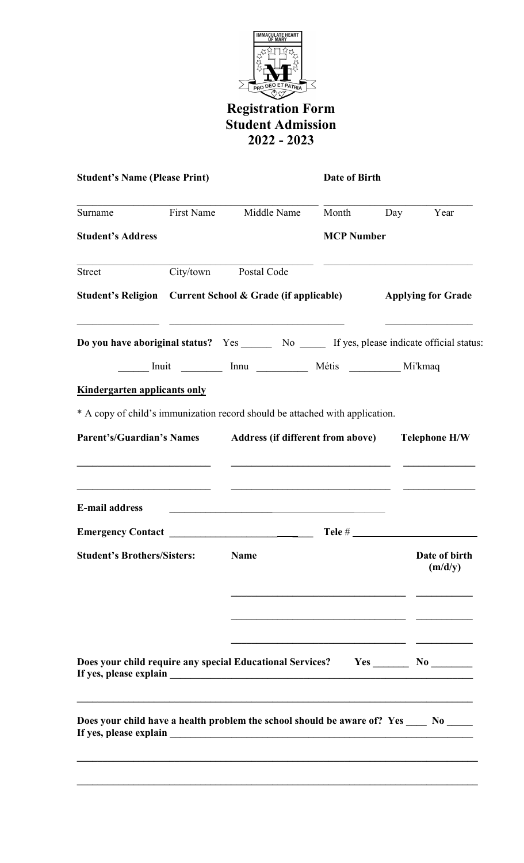

## Registration Form Student Admission 2022 - 2023

| <b>Student's Name (Please Print)</b>                                                          |  |                                                                                                                       | Date of Birth     |                                                 |  |
|-----------------------------------------------------------------------------------------------|--|-----------------------------------------------------------------------------------------------------------------------|-------------------|-------------------------------------------------|--|
| Surname                                                                                       |  | First Name Middle Name                                                                                                | Month Day         | Year                                            |  |
| <b>Student's Address</b>                                                                      |  |                                                                                                                       | <b>MCP Number</b> |                                                 |  |
| Street                                                                                        |  | City/town Postal Code                                                                                                 |                   |                                                 |  |
| Student's Religion Current School & Grade (if applicable)                                     |  |                                                                                                                       |                   | <b>Applying for Grade</b>                       |  |
| Do you have aboriginal status? Yes _______ No ______ If yes, please indicate official status: |  | <u> 1989 - Johann John Stone, mars and deutscher Stone (1989)</u>                                                     |                   | <u> 1990 - Johann Barn, amerikan bestemannt</u> |  |
| <b>Kindergarten applicants only</b>                                                           |  | _______ Inuit ___________ Innu _________________ Métis ______________ Mi'kmaq                                         |                   |                                                 |  |
| * A copy of child's immunization record should be attached with application.                  |  |                                                                                                                       |                   |                                                 |  |
| Parent's/Guardian's Names Address (if different from above) Telephone H/W                     |  | <u> 1989 - Johann Harry Harry Harry Harry Harry Harry Harry Harry Harry Harry Harry Harry Harry Harry Harry Harry</u> |                   |                                                 |  |
| <u> 1989 - Johann Stoff, Amerikaansk politiker († 1908)</u><br><b>E-mail address</b>          |  | <u> 1989 - Johann Stoff, deutscher Stoff, der Stoff, der Stoff, der Stoff, der Stoff, der Stoff, der Stoff, der S</u> |                   |                                                 |  |
|                                                                                               |  |                                                                                                                       |                   |                                                 |  |
| <b>Student's Brothers/Sisters:</b> Name                                                       |  |                                                                                                                       |                   | <b>Date of birth</b><br>(m/d/y)                 |  |
|                                                                                               |  |                                                                                                                       |                   |                                                 |  |
| Does your child require any special Educational Services?                                     |  |                                                                                                                       |                   | $Yes$ No No                                     |  |
| Does your child have a health problem the school should be aware of? Yes _____ No _____       |  |                                                                                                                       |                   |                                                 |  |
|                                                                                               |  |                                                                                                                       |                   |                                                 |  |